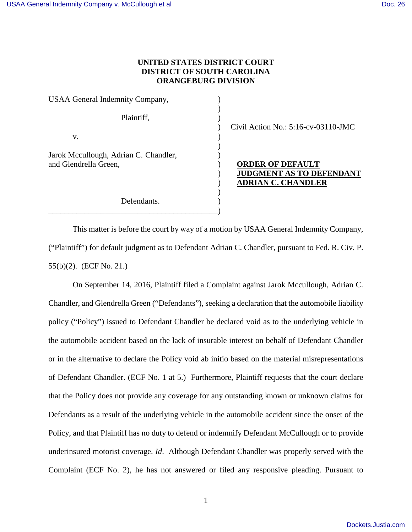## **UNITED STATES DISTRICT COURT DISTRICT OF SOUTH CAROLINA ORANGEBURG DIVISION**

USAA General Indemnity Company,  $)$ Plaintiff,  $\qquad \qquad$ )  $\mathbf{v}$ . ) Jarok Mccullough, Adrian C. Chandler, ) and Glendrella Green,  $\qquad \qquad$  **ORDER OF DEFAULT** ) Defendants.

\_\_\_\_\_\_\_\_\_\_\_\_\_\_\_\_\_\_\_\_\_\_\_\_\_\_\_\_\_\_\_\_\_\_\_\_\_\_\_\_\_\_)

) Civil Action No.: 5:16-cv-03110-JMC

) **JUDGMENT AS TO DEFENDANT** ) **ADRIAN C. CHANDLER**

This matter is before the court by way of a motion by USAA General Indemnity Company, ("Plaintiff") for default judgment as to Defendant Adrian C. Chandler, pursuant to Fed. R. Civ. P. 55(b)(2). (ECF No. 21.)

On September 14, 2016, Plaintiff filed a Complaint against Jarok Mccullough, Adrian C. Chandler, and Glendrella Green ("Defendants"), seeking a declaration that the automobile liability policy ("Policy") issued to Defendant Chandler be declared void as to the underlying vehicle in the automobile accident based on the lack of insurable interest on behalf of Defendant Chandler or in the alternative to declare the Policy void ab initio based on the material misrepresentations of Defendant Chandler. (ECF No. 1 at 5.) Furthermore, Plaintiff requests that the court declare that the Policy does not provide any coverage for any outstanding known or unknown claims for Defendants as a result of the underlying vehicle in the automobile accident since the onset of the Policy, and that Plaintiff has no duty to defend or indemnify Defendant McCullough or to provide underinsured motorist coverage. *Id*. Although Defendant Chandler was properly served with the Complaint (ECF No. 2), he has not answered or filed any responsive pleading. Pursuant to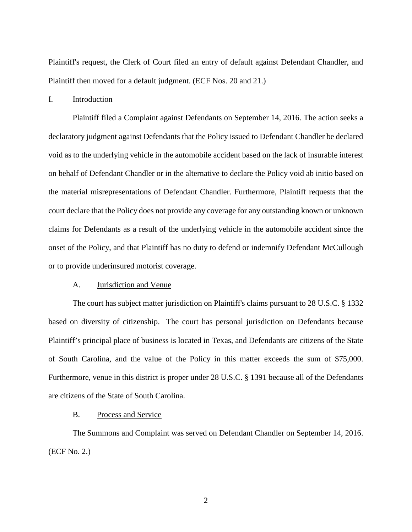Plaintiff's request, the Clerk of Court filed an entry of default against Defendant Chandler, and Plaintiff then moved for a default judgment. (ECF Nos. 20 and 21.)

### I. Introduction

Plaintiff filed a Complaint against Defendants on September 14, 2016. The action seeks a declaratory judgment against Defendants that the Policy issued to Defendant Chandler be declared void as to the underlying vehicle in the automobile accident based on the lack of insurable interest on behalf of Defendant Chandler or in the alternative to declare the Policy void ab initio based on the material misrepresentations of Defendant Chandler. Furthermore, Plaintiff requests that the court declare that the Policy does not provide any coverage for any outstanding known or unknown claims for Defendants as a result of the underlying vehicle in the automobile accident since the onset of the Policy, and that Plaintiff has no duty to defend or indemnify Defendant McCullough or to provide underinsured motorist coverage.

#### A. Jurisdiction and Venue

The court has subject matter jurisdiction on Plaintiff's claims pursuant to 28 U.S.C. § 1332 based on diversity of citizenship. The court has personal jurisdiction on Defendants because Plaintiff's principal place of business is located in Texas, and Defendants are citizens of the State of South Carolina, and the value of the Policy in this matter exceeds the sum of \$75,000. Furthermore, venue in this district is proper under 28 U.S.C. § 1391 because all of the Defendants are citizens of the State of South Carolina.

## B. Process and Service

The Summons and Complaint was served on Defendant Chandler on September 14, 2016. (ECF No. 2.)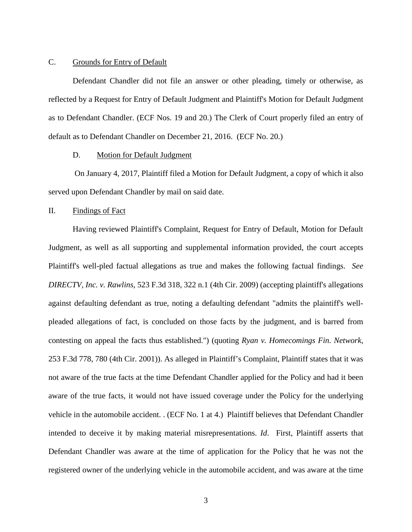### C. Grounds for Entry of Default

Defendant Chandler did not file an answer or other pleading, timely or otherwise, as reflected by a Request for Entry of Default Judgment and Plaintiff's Motion for Default Judgment as to Defendant Chandler. (ECF Nos. 19 and 20.) The Clerk of Court properly filed an entry of default as to Defendant Chandler on December 21, 2016. (ECF No. 20.)

### D. Motion for Default Judgment

 On January 4, 2017, Plaintiff filed a Motion for Default Judgment, a copy of which it also served upon Defendant Chandler by mail on said date.

## II. Findings of Fact

Having reviewed Plaintiff's Complaint, Request for Entry of Default, Motion for Default Judgment, as well as all supporting and supplemental information provided, the court accepts Plaintiff's well-pled factual allegations as true and makes the following factual findings. *See DIRECTV, Inc. v. Rawlins*, 523 F.3d 318, 322 n.1 (4th Cir. 2009) (accepting plaintiff's allegations against defaulting defendant as true, noting a defaulting defendant "admits the plaintiff's wellpleaded allegations of fact, is concluded on those facts by the judgment, and is barred from contesting on appeal the facts thus established.") (quoting *Ryan v. Homecomings Fin. Network,*  253 F.3d 778, 780 (4th Cir. 2001)). As alleged in Plaintiff's Complaint, Plaintiff states that it was not aware of the true facts at the time Defendant Chandler applied for the Policy and had it been aware of the true facts, it would not have issued coverage under the Policy for the underlying vehicle in the automobile accident. . (ECF No. 1 at 4.) Plaintiff believes that Defendant Chandler intended to deceive it by making material misrepresentations. *Id*. First, Plaintiff asserts that Defendant Chandler was aware at the time of application for the Policy that he was not the registered owner of the underlying vehicle in the automobile accident, and was aware at the time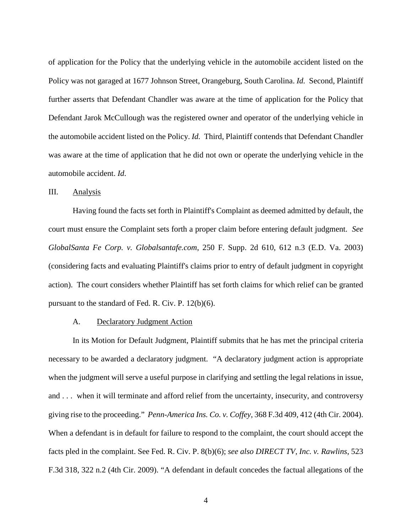of application for the Policy that the underlying vehicle in the automobile accident listed on the Policy was not garaged at 1677 Johnson Street, Orangeburg, South Carolina. *Id.* Second, Plaintiff further asserts that Defendant Chandler was aware at the time of application for the Policy that Defendant Jarok McCullough was the registered owner and operator of the underlying vehicle in the automobile accident listed on the Policy. *Id.* Third, Plaintiff contends that Defendant Chandler was aware at the time of application that he did not own or operate the underlying vehicle in the automobile accident. *Id*.

### III. Analysis

Having found the facts set forth in Plaintiff's Complaint as deemed admitted by default, the court must ensure the Complaint sets forth a proper claim before entering default judgment. *See GlobalSanta Fe Corp. v. Globalsantafe.com*, 250 F. Supp. 2d 610, 612 n.3 (E.D. Va. 2003) (considering facts and evaluating Plaintiff's claims prior to entry of default judgment in copyright action). The court considers whether Plaintiff has set forth claims for which relief can be granted pursuant to the standard of Fed. R. Civ. P. 12(b)(6).

### A. Declaratory Judgment Action

In its Motion for Default Judgment, Plaintiff submits that he has met the principal criteria necessary to be awarded a declaratory judgment. "A declaratory judgment action is appropriate when the judgment will serve a useful purpose in clarifying and settling the legal relations in issue, and . . . when it will terminate and afford relief from the uncertainty, insecurity, and controversy giving rise to the proceeding." *Penn-America Ins. Co. v. Coffey*, 368 F.3d 409, 412 (4th Cir. 2004). When a defendant is in default for failure to respond to the complaint, the court should accept the facts pled in the complaint. See Fed. R. Civ. P. 8(b)(6); *see also DIRECT TV, Inc. v. Rawlins*, 523 F.3d 318, 322 n.2 (4th Cir. 2009). "A defendant in default concedes the factual allegations of the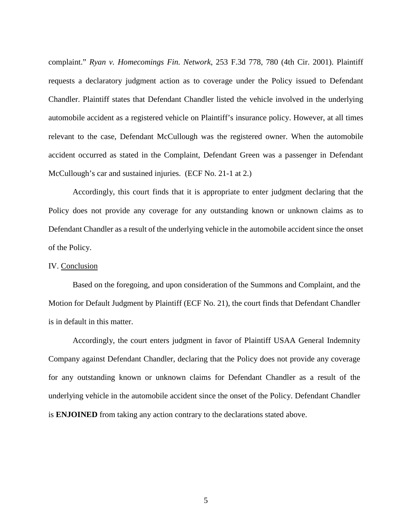complaint." *Ryan v. Homecomings Fin. Network*, 253 F.3d 778, 780 (4th Cir. 2001). Plaintiff requests a declaratory judgment action as to coverage under the Policy issued to Defendant Chandler. Plaintiff states that Defendant Chandler listed the vehicle involved in the underlying automobile accident as a registered vehicle on Plaintiff's insurance policy. However, at all times relevant to the case, Defendant McCullough was the registered owner. When the automobile accident occurred as stated in the Complaint, Defendant Green was a passenger in Defendant McCullough's car and sustained injuries. (ECF No. 21-1 at 2.)

Accordingly, this court finds that it is appropriate to enter judgment declaring that the Policy does not provide any coverage for any outstanding known or unknown claims as to Defendant Chandler as a result of the underlying vehicle in the automobile accident since the onset of the Policy.

### IV. Conclusion

Based on the foregoing, and upon consideration of the Summons and Complaint, and the Motion for Default Judgment by Plaintiff (ECF No. 21), the court finds that Defendant Chandler is in default in this matter.

 Accordingly, the court enters judgment in favor of Plaintiff USAA General Indemnity Company against Defendant Chandler, declaring that the Policy does not provide any coverage for any outstanding known or unknown claims for Defendant Chandler as a result of the underlying vehicle in the automobile accident since the onset of the Policy. Defendant Chandler is **ENJOINED** from taking any action contrary to the declarations stated above.